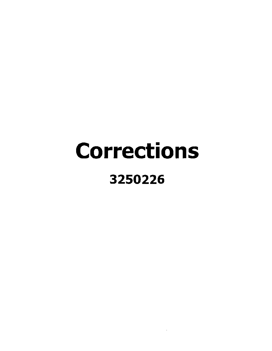## Corrections 3250226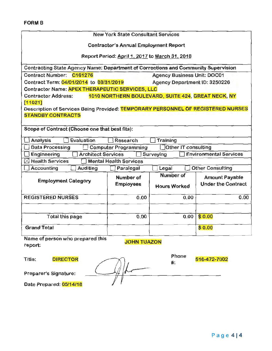|                                                                                    | <b>New York State Consultant Services</b>      |                                                    |                               |
|------------------------------------------------------------------------------------|------------------------------------------------|----------------------------------------------------|-------------------------------|
|                                                                                    | <b>Contractor's Annual Employment Report</b>   |                                                    |                               |
|                                                                                    | Report Period: April 1, 2017 to March 31, 2018 |                                                    |                               |
| Contracting State Agency Name: Department of Corrections and Community Supervision |                                                |                                                    |                               |
| Contract Number: C161276                                                           |                                                | <b>Agency Business Unit: DOC01</b>                 |                               |
| Contract Term: 04/01/2014 to 03/31/2019                                            |                                                | Agency Department ID: 3250226                      |                               |
| Contractor Name: APEX THERAPEUTIC SERVICES, LLC                                    |                                                |                                                    |                               |
| <b>Contractor Address:</b>                                                         |                                                | 1010 NORTHERN BOULEVARD, SUITE 424, GREAT NECK, NY |                               |
| [11021]                                                                            |                                                |                                                    |                               |
| Description of Services Being Provided: TEMPORARY PERSONNEL OF REGISTERED NURSES   |                                                |                                                    |                               |
| <b>STANDBY CONTRACTS</b>                                                           |                                                |                                                    |                               |
| Scope of Contract (Choose one that best fits):                                     |                                                |                                                    |                               |
| Evaluation<br><b>Analysis</b>                                                      | Research                                       | Training                                           |                               |
| <b>Data Processing</b>                                                             | <b>Computer Programming</b>                    | Other IT consulting                                |                               |
| <b>Architect Services</b><br>Engineering                                           |                                                | Surveying                                          | <b>Environmental Services</b> |
| <b>Health Services</b><br>IХI                                                      | <b>Mental Health Services</b>                  |                                                    |                               |
| <b>Accounting</b><br><b>Auditing</b>                                               | Paralegal                                      | Legal                                              | <b>Other Consulting</b>       |
|                                                                                    | Number of                                      | Number of                                          | <b>Amount Payable</b>         |
| <b>Employment Category</b>                                                         | <b>Employees</b>                               | <b>Hours Worked</b>                                | <b>Under the Contract</b>     |
|                                                                                    |                                                |                                                    |                               |
| <b>REGISTERED NURSES</b>                                                           | 0.00                                           | 0.00                                               | 0.00                          |
|                                                                                    |                                                |                                                    |                               |
| <b>Total this page</b>                                                             | 0.00                                           | 0.00                                               | \$0.00                        |
|                                                                                    |                                                |                                                    |                               |
| <b>Grand Total</b>                                                                 |                                                |                                                    | \$0.00                        |
| Name of person who prepared this<br><b>JOHN TUAZON</b><br>report:                  |                                                |                                                    |                               |
| Title:<br><b>DIRECTOR</b>                                                          |                                                | Phone                                              | 516-472-7002                  |
| #:                                                                                 |                                                |                                                    |                               |
|                                                                                    |                                                |                                                    |                               |
| Preparer's Signature:                                                              |                                                |                                                    |                               |
| Date Prepared: 05/14/18                                                            |                                                |                                                    |                               |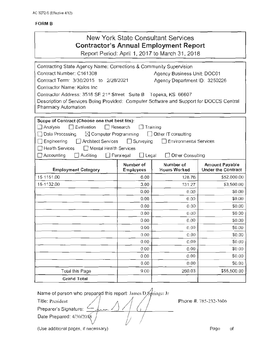## FORM B

| New York State Consultant Services<br><b>Contractor's Annual Employment Report</b><br>Report Period: April 1, 2017 to March 31, 2018<br>Contracting State Agency Name: Corrections & Community Supervision<br>Agency Business Unit: DOC01<br>Contract Term: 3/30/2015 to 2/28/2021<br>Agency Department ID: 3250226<br>Contractor Address: 3518 SE 21st Street Suite B<br>Topeka, KS 66607<br>Description of Services Being Provided: Computer Software and Support for DOCCS Central<br>Scope of Contract (Choose one that best fits):<br>$\Box$ Evaluation<br>Research<br>$\Box$ Training<br>$\boxtimes$ Computer Programming<br>$\Box$ Other IT consulting<br>$\Box$ Surveying<br>□ Architect Services<br>Environmental Services<br>□ Mental Health Services<br>$\Box$ Accounting<br><b>Other Consulting</b><br>Auditing<br>$\Box$ Paralegal<br>$\Box$ Legal<br>Number of<br>Number of<br><b>Amount Payable</b><br><b>Hours Worked</b><br><b>Employment Category</b><br><b>Employees</b><br>6.00<br>128.76<br>3.00<br>131.27<br>0.00<br>0.00<br>0.00<br>0.00<br>0.00<br>0.00<br>0.00<br>0.00<br>0.00<br>0.00<br>0.00<br>0.00<br>0.00<br>0.00<br>0.00<br>0.00<br>0.00<br>0.00<br>0.00<br>0.00<br>0.00<br>0.00<br>9.00<br>260.03<br>Total this Page<br><b>Grand Total</b> |                                                                                           |  |  |                           |
|----------------------------------------------------------------------------------------------------------------------------------------------------------------------------------------------------------------------------------------------------------------------------------------------------------------------------------------------------------------------------------------------------------------------------------------------------------------------------------------------------------------------------------------------------------------------------------------------------------------------------------------------------------------------------------------------------------------------------------------------------------------------------------------------------------------------------------------------------------------------------------------------------------------------------------------------------------------------------------------------------------------------------------------------------------------------------------------------------------------------------------------------------------------------------------------------------------------------------------------------------------------------------|-------------------------------------------------------------------------------------------|--|--|---------------------------|
|                                                                                                                                                                                                                                                                                                                                                                                                                                                                                                                                                                                                                                                                                                                                                                                                                                                                                                                                                                                                                                                                                                                                                                                                                                                                            |                                                                                           |  |  |                           |
|                                                                                                                                                                                                                                                                                                                                                                                                                                                                                                                                                                                                                                                                                                                                                                                                                                                                                                                                                                                                                                                                                                                                                                                                                                                                            |                                                                                           |  |  |                           |
|                                                                                                                                                                                                                                                                                                                                                                                                                                                                                                                                                                                                                                                                                                                                                                                                                                                                                                                                                                                                                                                                                                                                                                                                                                                                            | Contract Number: C161308<br>Contractor Name: Kalos Inc<br>Pharmacy Automation             |  |  |                           |
|                                                                                                                                                                                                                                                                                                                                                                                                                                                                                                                                                                                                                                                                                                                                                                                                                                                                                                                                                                                                                                                                                                                                                                                                                                                                            | $\Box$ Analysis<br>$\Box$ Data Processing<br>$\Box$ Engineering<br>$\Box$ Health Services |  |  |                           |
|                                                                                                                                                                                                                                                                                                                                                                                                                                                                                                                                                                                                                                                                                                                                                                                                                                                                                                                                                                                                                                                                                                                                                                                                                                                                            |                                                                                           |  |  | <b>Under the Contract</b> |
|                                                                                                                                                                                                                                                                                                                                                                                                                                                                                                                                                                                                                                                                                                                                                                                                                                                                                                                                                                                                                                                                                                                                                                                                                                                                            | 15-1151.00                                                                                |  |  | \$52,000.00               |
|                                                                                                                                                                                                                                                                                                                                                                                                                                                                                                                                                                                                                                                                                                                                                                                                                                                                                                                                                                                                                                                                                                                                                                                                                                                                            | 15-1132.00                                                                                |  |  | \$3,500.00                |
|                                                                                                                                                                                                                                                                                                                                                                                                                                                                                                                                                                                                                                                                                                                                                                                                                                                                                                                                                                                                                                                                                                                                                                                                                                                                            |                                                                                           |  |  | \$0.00                    |
|                                                                                                                                                                                                                                                                                                                                                                                                                                                                                                                                                                                                                                                                                                                                                                                                                                                                                                                                                                                                                                                                                                                                                                                                                                                                            |                                                                                           |  |  | \$0.00                    |
|                                                                                                                                                                                                                                                                                                                                                                                                                                                                                                                                                                                                                                                                                                                                                                                                                                                                                                                                                                                                                                                                                                                                                                                                                                                                            |                                                                                           |  |  | \$0.00                    |
|                                                                                                                                                                                                                                                                                                                                                                                                                                                                                                                                                                                                                                                                                                                                                                                                                                                                                                                                                                                                                                                                                                                                                                                                                                                                            |                                                                                           |  |  | \$0.00                    |
|                                                                                                                                                                                                                                                                                                                                                                                                                                                                                                                                                                                                                                                                                                                                                                                                                                                                                                                                                                                                                                                                                                                                                                                                                                                                            |                                                                                           |  |  | \$0.00                    |
|                                                                                                                                                                                                                                                                                                                                                                                                                                                                                                                                                                                                                                                                                                                                                                                                                                                                                                                                                                                                                                                                                                                                                                                                                                                                            |                                                                                           |  |  | \$0.00                    |
|                                                                                                                                                                                                                                                                                                                                                                                                                                                                                                                                                                                                                                                                                                                                                                                                                                                                                                                                                                                                                                                                                                                                                                                                                                                                            |                                                                                           |  |  | \$0.00                    |
|                                                                                                                                                                                                                                                                                                                                                                                                                                                                                                                                                                                                                                                                                                                                                                                                                                                                                                                                                                                                                                                                                                                                                                                                                                                                            |                                                                                           |  |  | \$0.00                    |
|                                                                                                                                                                                                                                                                                                                                                                                                                                                                                                                                                                                                                                                                                                                                                                                                                                                                                                                                                                                                                                                                                                                                                                                                                                                                            |                                                                                           |  |  | \$0.00                    |
|                                                                                                                                                                                                                                                                                                                                                                                                                                                                                                                                                                                                                                                                                                                                                                                                                                                                                                                                                                                                                                                                                                                                                                                                                                                                            |                                                                                           |  |  | \$0.00                    |
|                                                                                                                                                                                                                                                                                                                                                                                                                                                                                                                                                                                                                                                                                                                                                                                                                                                                                                                                                                                                                                                                                                                                                                                                                                                                            |                                                                                           |  |  | \$0.00                    |
|                                                                                                                                                                                                                                                                                                                                                                                                                                                                                                                                                                                                                                                                                                                                                                                                                                                                                                                                                                                                                                                                                                                                                                                                                                                                            |                                                                                           |  |  | \$55,500.00               |
|                                                                                                                                                                                                                                                                                                                                                                                                                                                                                                                                                                                                                                                                                                                                                                                                                                                                                                                                                                                                                                                                                                                                                                                                                                                                            |                                                                                           |  |  |                           |

Name of person who prepared this report: James  $D \mathcal{L}_{\text{pringer}}$  Jr

Preparer's Signature:  $\leq$ 

Date Prepared: 4/30/2018

Title: President  $\angle$  |  $\angle$  | Phone #: 785-232-3606

(Use additional pages, if necessary) example of the example of the example of the example of the example of the example of the example of the example of the example of the example of the example of the example of the examp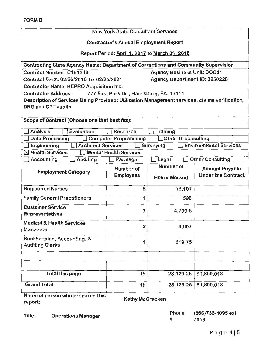| <b>New York State Consultant Services</b>                                                     |                                                |                                    |                               |  |
|-----------------------------------------------------------------------------------------------|------------------------------------------------|------------------------------------|-------------------------------|--|
| <b>Contractor's Annual Employment Report</b>                                                  |                                                |                                    |                               |  |
|                                                                                               | Report Period: April 1, 2017 to March 31, 2018 |                                    |                               |  |
| Contracting State Agency Name: Department of Corrections and Community Supervision            |                                                |                                    |                               |  |
| Contract Number: C161348                                                                      |                                                | <b>Agency Business Unit: DOC01</b> |                               |  |
| Contract Term; 02/26/2016 to 02/25/2021<br>Agency Department ID: 3250226                      |                                                |                                    |                               |  |
| <b>Contractor Name: KEPRO Acquisition Inc.</b>                                                |                                                |                                    |                               |  |
| <b>Contractor Address:</b>                                                                    | 777 East Park Dr., Harrisburg, PA. 17111       |                                    |                               |  |
| Description of Services Being Provided: Utilization Management services, claims verification, |                                                |                                    |                               |  |
| <b>DRG and CPT audits</b>                                                                     |                                                |                                    |                               |  |
|                                                                                               |                                                |                                    |                               |  |
| Scope of Contract (Choose one that best fits):                                                |                                                |                                    |                               |  |
| Evaluation<br><b>Analysis</b>                                                                 | Research                                       | Training                           |                               |  |
| <b>Data Processing</b>                                                                        | <b>Computer Programming</b>                    | <b>Other IT consulting</b>         |                               |  |
| <b>Architect Services</b><br><b>Engineering</b>                                               |                                                | Surveying                          | <b>Environmental Services</b> |  |
| $\boxtimes$ Health Services                                                                   | <b>Mental Health Services</b>                  |                                    |                               |  |
| Accounting<br><b>Auditing</b>                                                                 | Paralegal                                      | Legal                              | <b>Other Consulting</b>       |  |
| Number of                                                                                     |                                                |                                    |                               |  |
|                                                                                               | Number of                                      |                                    | <b>Amount Payable</b>         |  |
| <b>Employment Category</b>                                                                    | <b>Employees</b>                               |                                    | <b>Under the Contract</b>     |  |
|                                                                                               |                                                | <b>Hours Worked</b>                |                               |  |
| <b>Registered Nurses</b>                                                                      | 8                                              | 13,107                             |                               |  |
| <b>Family General Practitioners</b>                                                           | 1                                              | 596                                |                               |  |
| <b>Customer Service</b>                                                                       |                                                |                                    |                               |  |
| <b>Representatives</b>                                                                        | 3                                              | 4,799.5                            |                               |  |
| <b>Medical &amp; Health Services</b>                                                          |                                                |                                    |                               |  |
| Managers                                                                                      | 2                                              | 4,007                              |                               |  |
| Bookkeeping, Accounting, &                                                                    |                                                |                                    |                               |  |
| <b>Auditing Clerks</b>                                                                        | 1                                              | 619.75                             |                               |  |
|                                                                                               |                                                |                                    |                               |  |
|                                                                                               |                                                |                                    |                               |  |
| Total this page                                                                               | 15                                             | 23,129.25                          | \$1,800,018                   |  |
| <b>Grand Total</b>                                                                            | 15                                             | 23,129.25                          | \$1,800,018                   |  |

report: Experience properties and Kathy McCracken

Title: Operations Manager Phone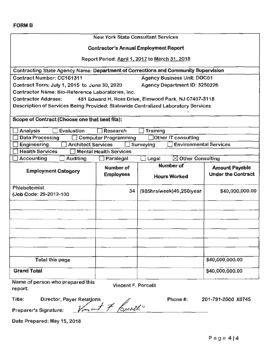| <b>New York State Consultant Services</b>                                          |                               |                                                       |                           |
|------------------------------------------------------------------------------------|-------------------------------|-------------------------------------------------------|---------------------------|
|                                                                                    |                               | <b>Contractor's Annual Employment Report</b>          |                           |
|                                                                                    |                               |                                                       |                           |
|                                                                                    |                               | Report Period: April 1, 2017 to March 31, 2018        |                           |
| Contracting State Agency Name: Department of Corrections and Community Supervision |                               |                                                       |                           |
| <b>Contract Number: CC161311</b>                                                   |                               | <b>Agency Business Unit: DOC01</b>                    |                           |
| Contract Term: July 1, 2015 to June 30, 2020                                       |                               | Agency Department ID: 3250226                         |                           |
| Contractor Name: Bio-Reference Laboratories, Inc.                                  |                               |                                                       |                           |
| <b>Contractor Address:</b>                                                         |                               | 481 Edward H. Ross Drive, Elmwood Park, NJ 07407-3118 |                           |
| Description of Services Being Provided: Statewide Centralized Laboratory Services  |                               |                                                       |                           |
| Scope of Contract (Choose one that best fits):                                     |                               |                                                       |                           |
| <b>Evaluation</b><br>Analysis                                                      | Research                      | <b>Training</b>                                       |                           |
| <b>Data Processing</b>                                                             | <b>Computer Programming</b>   | Other IT consulting                                   |                           |
| <b>Architect Services</b><br><b>Engineering</b>                                    |                               | <b>Environmental Services</b><br>Surveying            |                           |
| <b>Health Services</b>                                                             | <b>Mental Health Services</b> |                                                       |                           |
| Accounting<br>Auditing                                                             | Paralegal                     | $\boxtimes$ Other Consulting<br>Legal                 |                           |
|                                                                                    | Number of                     | <b>Number of</b>                                      | <b>Amount Payable</b>     |
| <b>Employment Category</b>                                                         | <b>Employees</b>              | <b>Hours Worked</b>                                   | <b>Under the Contract</b> |
|                                                                                    |                               |                                                       |                           |
| Phlebotomist                                                                       | 34                            | (985hrs/week)49,250/year                              | \$40,000,000.00           |
| (Job Code: 29-2012-100                                                             |                               |                                                       |                           |
|                                                                                    |                               |                                                       |                           |
|                                                                                    |                               |                                                       |                           |
|                                                                                    |                               |                                                       |                           |
|                                                                                    |                               |                                                       |                           |
|                                                                                    |                               |                                                       |                           |
|                                                                                    |                               |                                                       |                           |
|                                                                                    |                               |                                                       |                           |
|                                                                                    |                               |                                                       | \$40,000,000.00           |
| Total this page                                                                    |                               |                                                       |                           |
| <b>Grand Total</b>                                                                 |                               |                                                       | \$40,000,000.00           |
| Name of person who prepared this                                                   |                               |                                                       |                           |
| report:                                                                            | <b>Vincent F. Porcelli</b>    |                                                       |                           |

Date Prepared: May 15, 2018

201-791-2600 X8745

Phone#: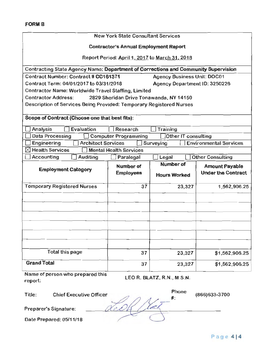|                                                                                    |                                                | <b>New York State Consultant Services</b> |                               |
|------------------------------------------------------------------------------------|------------------------------------------------|-------------------------------------------|-------------------------------|
|                                                                                    |                                                |                                           |                               |
|                                                                                    | <b>Contractor's Annual Employment Report</b>   |                                           |                               |
|                                                                                    | Report Period: April 1, 2017 to March 31, 2018 |                                           |                               |
| Contracting State Agency Name: Department of Corrections and Community Supervision |                                                |                                           |                               |
| Contract Number: Contract # CC161371                                               |                                                | <b>Agency Business Unit: DOC01</b>        |                               |
| Contract Term: 04/01/2017 to 03/31/2018                                            |                                                | Agency Department ID: 3250226             |                               |
| Contractor Name: Worldwide Travel Staffing, Limited                                |                                                |                                           |                               |
| <b>Contractor Address:</b>                                                         | 2829 Sheridan Drive Tonawanda, NY 14150        |                                           |                               |
| Description of Services Being Provided: Temporary Registered Nurses                |                                                |                                           |                               |
|                                                                                    |                                                |                                           |                               |
| Scope of Contract (Choose one that best fits):                                     |                                                |                                           |                               |
| Evaluation<br>Analysis                                                             | Research                                       | Training                                  |                               |
| <b>Data Processing</b>                                                             | <b>Computer Programming</b>                    | <b>Other IT consulting</b>                |                               |
| <b>Engineering</b><br><b>Architect Services</b>                                    |                                                | Surveying                                 | <b>Environmental Services</b> |
| $\boxtimes$ Health Services                                                        | <b>Mental Health Services</b>                  |                                           |                               |
| Accounting<br><b>Auditing</b>                                                      | Paralegal                                      | Legal                                     | <b>Other Consulting</b>       |
| <b>Employment Category</b>                                                         | <b>Number of</b>                               | <b>Number of</b>                          | <b>Amount Payable</b>         |
|                                                                                    | <b>Employees</b>                               | <b>Hours Worked</b>                       | <b>Under the Contract</b>     |
| <b>Temporary Registered Nurses</b>                                                 | 37                                             | 23,327                                    | 1,562,906.25                  |
|                                                                                    |                                                |                                           |                               |
|                                                                                    |                                                |                                           |                               |
|                                                                                    |                                                |                                           |                               |
|                                                                                    |                                                |                                           |                               |
|                                                                                    |                                                |                                           |                               |
|                                                                                    |                                                |                                           |                               |
|                                                                                    |                                                |                                           |                               |
|                                                                                    |                                                |                                           |                               |
| Total this page                                                                    | 37                                             | 23,327                                    | \$1,562,906.25                |
|                                                                                    |                                                |                                           |                               |

| <b>Grand Total</b>                          | 37                         | 23,327      | \$1,562,90     |
|---------------------------------------------|----------------------------|-------------|----------------|
| Name of person who prepared this<br>report: | LEO R. BLATZ, R.N., M.S.N. |             |                |
| Title:<br><b>Chief Executive Officer</b>    |                            | Phone<br>#: | (866) 633-3700 |
| Preparer's Signature:                       |                            |             |                |
| Date Prepared: 05/11/18                     |                            |             |                |